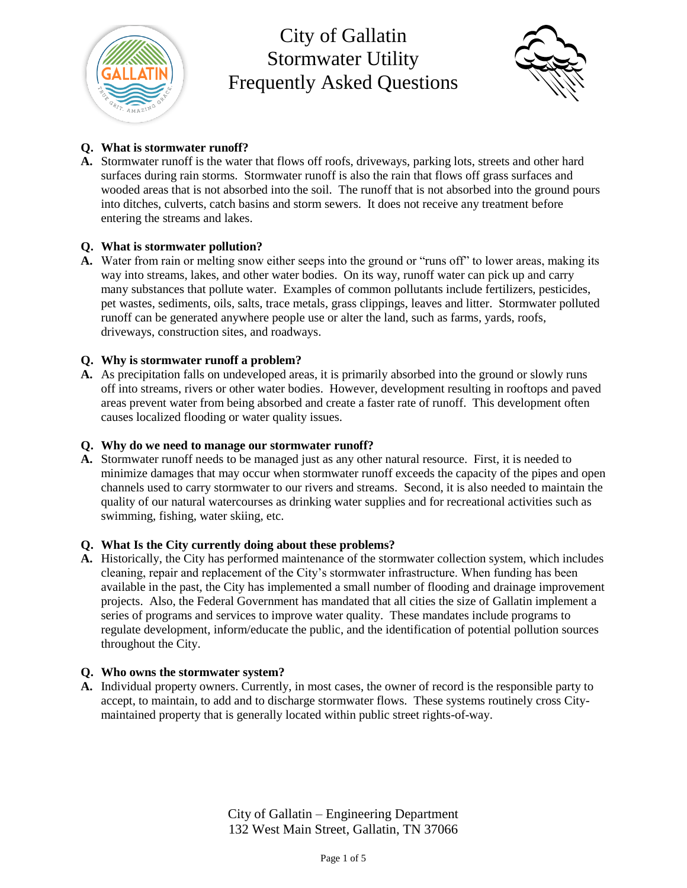



### **Q. What is stormwater runoff?**

**A.** Stormwater runoff is the water that flows off roofs, driveways, parking lots, streets and other hard surfaces during rain storms. Stormwater runoff is also the rain that flows off grass surfaces and wooded areas that is not absorbed into the soil. The runoff that is not absorbed into the ground pours into ditches, culverts, catch basins and storm sewers. It does not receive any treatment before entering the streams and lakes.

### **Q. What is stormwater pollution?**

**A.** Water from rain or melting snow either seeps into the ground or "runs off" to lower areas, making its way into streams, lakes, and other water bodies. On its way, runoff water can pick up and carry many substances that pollute water. Examples of common pollutants include fertilizers, pesticides, pet wastes, sediments, oils, salts, trace metals, grass clippings, leaves and litter. Stormwater polluted runoff can be generated anywhere people use or alter the land, such as farms, yards, roofs, driveways, construction sites, and roadways.

### **Q. Why is stormwater runoff a problem?**

**A.** As precipitation falls on undeveloped areas, it is primarily absorbed into the ground or slowly runs off into streams, rivers or other water bodies. However, development resulting in rooftops and paved areas prevent water from being absorbed and create a faster rate of runoff. This development often causes localized flooding or water quality issues.

#### **Q. Why do we need to manage our stormwater runoff?**

**A.** Stormwater runoff needs to be managed just as any other natural resource. First, it is needed to minimize damages that may occur when stormwater runoff exceeds the capacity of the pipes and open channels used to carry stormwater to our rivers and streams. Second, it is also needed to maintain the quality of our natural watercourses as drinking water supplies and for recreational activities such as swimming, fishing, water skiing, etc.

#### **Q. What Is the City currently doing about these problems?**

**A.** Historically, the City has performed maintenance of the stormwater collection system, which includes cleaning, repair and replacement of the City's stormwater infrastructure. When funding has been available in the past, the City has implemented a small number of flooding and drainage improvement projects. Also, the Federal Government has mandated that all cities the size of Gallatin implement a series of programs and services to improve water quality. These mandates include programs to regulate development, inform/educate the public, and the identification of potential pollution sources throughout the City.

#### **Q. Who owns the stormwater system?**

**A.** Individual property owners. Currently, in most cases, the owner of record is the responsible party to accept, to maintain, to add and to discharge stormwater flows. These systems routinely cross Citymaintained property that is generally located within public street rights-of-way.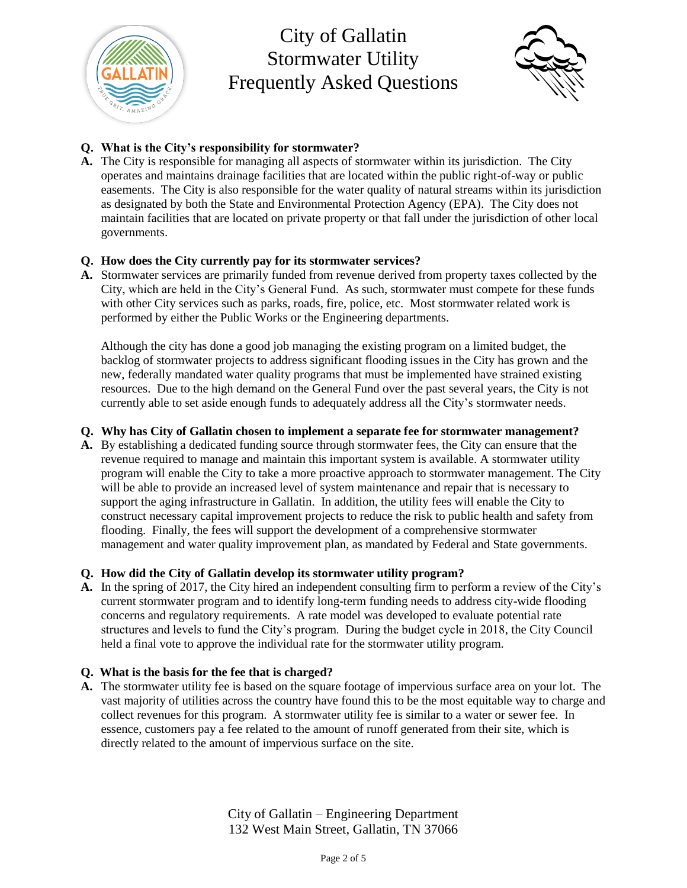



# **Q. What is the City's responsibility for stormwater?**

**A.** The City is responsible for managing all aspects of stormwater within its jurisdiction. The City operates and maintains drainage facilities that are located within the public right-of-way or public easements. The City is also responsible for the water quality of natural streams within its jurisdiction as designated by both the State and Environmental Protection Agency (EPA). The City does not maintain facilities that are located on private property or that fall under the jurisdiction of other local governments.

# **Q. How does the City currently pay for its stormwater services?**

**A.** Stormwater services are primarily funded from revenue derived from property taxes collected by the City, which are held in the City's General Fund. As such, stormwater must compete for these funds with other City services such as parks, roads, fire, police, etc. Most stormwater related work is performed by either the Public Works or the Engineering departments.

Although the city has done a good job managing the existing program on a limited budget, the backlog of stormwater projects to address significant flooding issues in the City has grown and the new, federally mandated water quality programs that must be implemented have strained existing resources. Due to the high demand on the General Fund over the past several years, the City is not currently able to set aside enough funds to adequately address all the City's stormwater needs.

# **Q. Why has City of Gallatin chosen to implement a separate fee for stormwater management?**

**A.** By establishing a dedicated funding source through stormwater fees, the City can ensure that the revenue required to manage and maintain this important system is available. A stormwater utility program will enable the City to take a more proactive approach to stormwater management. The City will be able to provide an increased level of system maintenance and repair that is necessary to support the aging infrastructure in Gallatin. In addition, the utility fees will enable the City to construct necessary capital improvement projects to reduce the risk to public health and safety from flooding. Finally, the fees will support the development of a comprehensive stormwater management and water quality improvement plan, as mandated by Federal and State governments.

# **Q. How did the City of Gallatin develop its stormwater utility program?**

**A.** In the spring of 2017, the City hired an independent consulting firm to perform a review of the City's current stormwater program and to identify long-term funding needs to address city-wide flooding concerns and regulatory requirements. A rate model was developed to evaluate potential rate structures and levels to fund the City's program. During the budget cycle in 2018, the City Council held a final vote to approve the individual rate for the stormwater utility program.

# **Q. What is the basis for the fee that is charged?**

**A.** The stormwater utility fee is based on the square footage of impervious surface area on your lot. The vast majority of utilities across the country have found this to be the most equitable way to charge and collect revenues for this program. A stormwater utility fee is similar to a water or sewer fee. In essence, customers pay a fee related to the amount of runoff generated from their site, which is directly related to the amount of impervious surface on the site.

> City of Gallatin – Engineering Department 132 West Main Street, Gallatin, TN 37066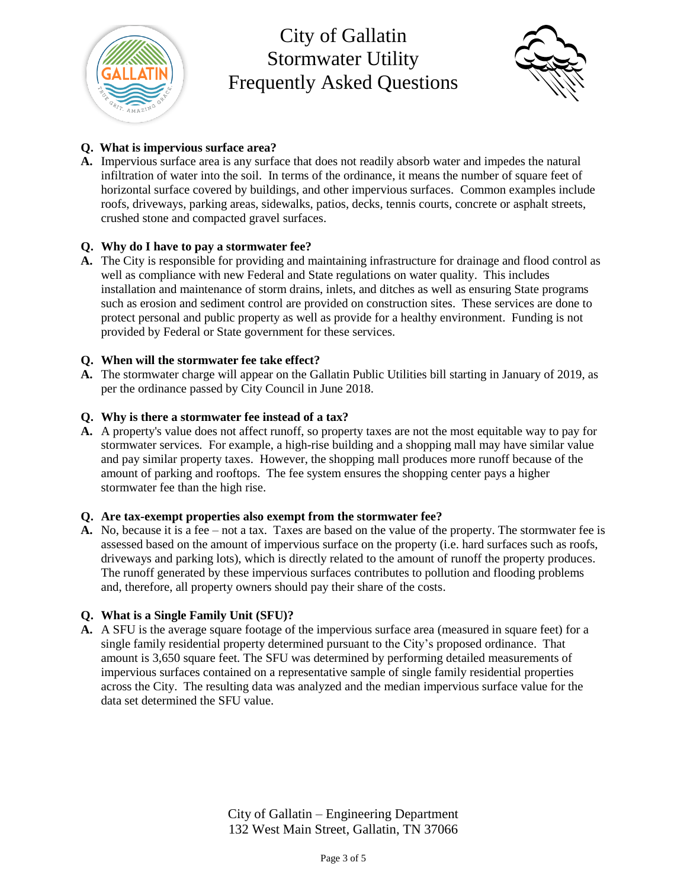



### **Q. What is impervious surface area?**

**A.** Impervious surface area is any surface that does not readily absorb water and impedes the natural infiltration of water into the soil. In terms of the ordinance, it means the number of square feet of horizontal surface covered by buildings, and other impervious surfaces. Common examples include roofs, driveways, parking areas, sidewalks, patios, decks, tennis courts, concrete or asphalt streets, crushed stone and compacted gravel surfaces.

### **Q. Why do I have to pay a stormwater fee?**

**A.** The City is responsible for providing and maintaining infrastructure for drainage and flood control as well as compliance with new Federal and State regulations on water quality. This includes installation and maintenance of storm drains, inlets, and ditches as well as ensuring State programs such as erosion and sediment control are provided on construction sites. These services are done to protect personal and public property as well as provide for a healthy environment. Funding is not provided by Federal or State government for these services.

### **Q. When will the stormwater fee take effect?**

**A.** The stormwater charge will appear on the Gallatin Public Utilities bill starting in January of 2019, as per the ordinance passed by City Council in June 2018.

### **Q. Why is there a stormwater fee instead of a tax?**

**A.** A property's value does not affect runoff, so property taxes are not the most equitable way to pay for stormwater services. For example, a high-rise building and a shopping mall may have similar value and pay similar property taxes. However, the shopping mall produces more runoff because of the amount of parking and rooftops. The fee system ensures the shopping center pays a higher stormwater fee than the high rise.

#### **Q. Are tax-exempt properties also exempt from the stormwater fee?**

**A.** No, because it is a fee – not a tax. Taxes are based on the value of the property. The stormwater fee is assessed based on the amount of impervious surface on the property (i.e. hard surfaces such as roofs, driveways and parking lots), which is directly related to the amount of runoff the property produces. The runoff generated by these impervious surfaces contributes to pollution and flooding problems and, therefore, all property owners should pay their share of the costs.

#### **Q. What is a Single Family Unit (SFU)?**

**A.** A SFU is the average square footage of the impervious surface area (measured in square feet) for a single family residential property determined pursuant to the City's proposed ordinance. That amount is 3,650 square feet. The SFU was determined by performing detailed measurements of impervious surfaces contained on a representative sample of single family residential properties across the City. The resulting data was analyzed and the median impervious surface value for the data set determined the SFU value.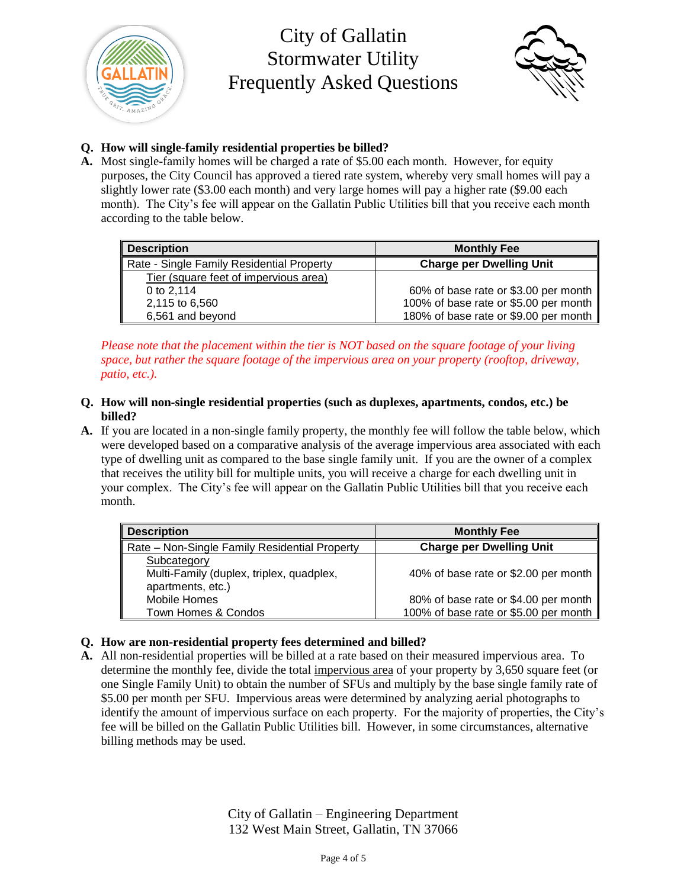



# **Q. How will single-family residential properties be billed?**

**A.** Most single-family homes will be charged a rate of \$5.00 each month. However, for equity purposes, the City Council has approved a tiered rate system, whereby very small homes will pay a slightly lower rate (\$3.00 each month) and very large homes will pay a higher rate (\$9.00 each month). The City's fee will appear on the Gallatin Public Utilities bill that you receive each month according to the table below.

| Description                               | <b>Monthly Fee</b>                               |
|-------------------------------------------|--------------------------------------------------|
| Rate - Single Family Residential Property | <b>Charge per Dwelling Unit</b>                  |
| Tier (square feet of impervious area)     |                                                  |
| 0 to $2.114$                              | 60% of base rate or \$3.00 per month $\parallel$ |
| 2,115 to 6,560                            | 100% of base rate or \$5.00 per month            |
| 6,561 and beyond                          | 180% of base rate or \$9.00 per month            |

*Please note that the placement within the tier is NOT based on the square footage of your living space, but rather the square footage of the impervious area on your property (rooftop, driveway, patio, etc.).*

- **Q. How will non-single residential properties (such as duplexes, apartments, condos, etc.) be billed?**
- **A.** If you are located in a non-single family property, the monthly fee will follow the table below, which were developed based on a comparative analysis of the average impervious area associated with each type of dwelling unit as compared to the base single family unit. If you are the owner of a complex that receives the utility bill for multiple units, you will receive a charge for each dwelling unit in your complex. The City's fee will appear on the Gallatin Public Utilities bill that you receive each month.

| <b>Description</b>                            | <b>Monthly Fee</b>                    |
|-----------------------------------------------|---------------------------------------|
| Rate - Non-Single Family Residential Property | <b>Charge per Dwelling Unit</b>       |
| Subcategory                                   |                                       |
| Multi-Family (duplex, triplex, quadplex,      | 40% of base rate or \$2.00 per month  |
| apartments, etc.)                             |                                       |
| Mobile Homes                                  | 80% of base rate or \$4.00 per month  |
| Town Homes & Condos                           | 100% of base rate or \$5.00 per month |

# **Q. How are non-residential property fees determined and billed?**

**A.** All non-residential properties will be billed at a rate based on their measured impervious area. To determine the monthly fee, divide the total impervious area of your property by 3,650 square feet (or one Single Family Unit) to obtain the number of SFUs and multiply by the base single family rate of \$5.00 per month per SFU. Impervious areas were determined by analyzing aerial photographs to identify the amount of impervious surface on each property. For the majority of properties, the City's fee will be billed on the Gallatin Public Utilities bill. However, in some circumstances, alternative billing methods may be used.